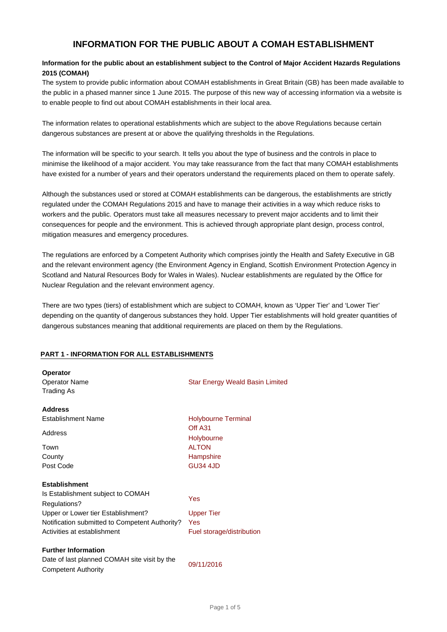# **INFORMATION FOR THE PUBLIC ABOUT A COMAH ESTABLISHMENT**

## **Information for the public about an establishment subject to the Control of Major Accident Hazards Regulations 2015 (COMAH)**

The system to provide public information about COMAH establishments in Great Britain (GB) has been made available to the public in a phased manner since 1 June 2015. The purpose of this new way of accessing information via a website is to enable people to find out about COMAH establishments in their local area.

The information relates to operational establishments which are subject to the above Regulations because certain dangerous substances are present at or above the qualifying thresholds in the Regulations.

The information will be specific to your search. It tells you about the type of business and the controls in place to minimise the likelihood of a major accident. You may take reassurance from the fact that many COMAH establishments have existed for a number of years and their operators understand the requirements placed on them to operate safely.

Although the substances used or stored at COMAH establishments can be dangerous, the establishments are strictly regulated under the COMAH Regulations 2015 and have to manage their activities in a way which reduce risks to workers and the public. Operators must take all measures necessary to prevent major accidents and to limit their consequences for people and the environment. This is achieved through appropriate plant design, process control, mitigation measures and emergency procedures.

The regulations are enforced by a Competent Authority which comprises jointly the Health and Safety Executive in GB and the relevant environment agency (the Environment Agency in England, Scottish Environment Protection Agency in Scotland and Natural Resources Body for Wales in Wales). Nuclear establishments are regulated by the Office for Nuclear Regulation and the relevant environment agency.

There are two types (tiers) of establishment which are subject to COMAH, known as 'Upper Tier' and 'Lower Tier' depending on the quantity of dangerous substances they hold. Upper Tier establishments will hold greater quantities of dangerous substances meaning that additional requirements are placed on them by the Regulations.

#### **PART 1 - INFORMATION FOR ALL ESTABLISHMENTS**

| <b>Operator</b><br><b>Operator Name</b><br>Trading As                                                                                                                                            | Star Energy Weald Basin Limited                                                                     |
|--------------------------------------------------------------------------------------------------------------------------------------------------------------------------------------------------|-----------------------------------------------------------------------------------------------------|
| <b>Address</b><br><b>Establishment Name</b><br>Address<br>Town<br>County<br>Post Code                                                                                                            | <b>Holybourne Terminal</b><br>Off A31<br>Holybourne<br><b>ALTON</b><br>Hampshire<br><b>GU34 4JD</b> |
| <b>Establishment</b><br>Is Establishment subject to COMAH<br>Regulations?<br>Upper or Lower tier Establishment?<br>Notification submitted to Competent Authority?<br>Activities at establishment | Yes<br><b>Upper Tier</b><br>Yes<br>Fuel storage/distribution                                        |
| <b>Further Information</b><br>Date of last planned COMAH site visit by the<br><b>Competent Authority</b>                                                                                         | 09/11/2016                                                                                          |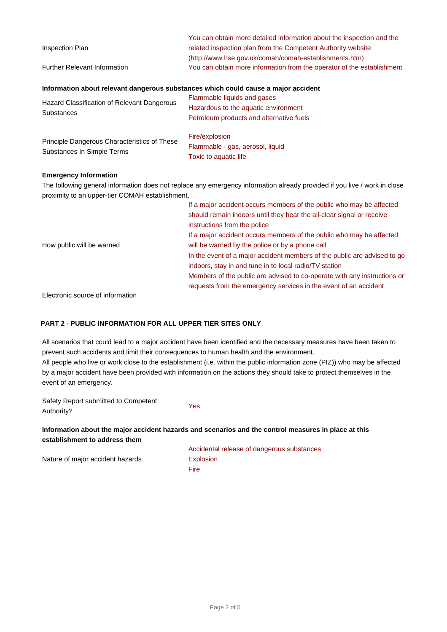| Inspection Plan                                                                                                           | You can obtain more detailed information about the inspection and the<br>related inspection plan from the Competent Authority website |  |
|---------------------------------------------------------------------------------------------------------------------------|---------------------------------------------------------------------------------------------------------------------------------------|--|
|                                                                                                                           | (http://www.hse.gov.uk/comah/comah-establishments.htm)                                                                                |  |
| <b>Further Relevant Information</b>                                                                                       | You can obtain more information from the operator of the establishment                                                                |  |
| Information about relevant dangerous substances which could cause a major accident                                        |                                                                                                                                       |  |
| Hazard Classification of Relevant Dangerous<br>Substances                                                                 | Flammable liquids and gases                                                                                                           |  |
|                                                                                                                           | Hazardous to the aquatic environment                                                                                                  |  |
|                                                                                                                           | Petroleum products and alternative fuels                                                                                              |  |
| Principle Dangerous Characteristics of These<br>Substances In Simple Terms                                                | Fire/explosion                                                                                                                        |  |
|                                                                                                                           | Flammable - gas, aerosol, liquid                                                                                                      |  |
|                                                                                                                           | Toxic to aquatic life                                                                                                                 |  |
| <b>Emergency Information</b>                                                                                              |                                                                                                                                       |  |
| The following general information does not replace any emergency information already provided if you live / work in close |                                                                                                                                       |  |
| proximity to an upper-tier COMAH establishment.                                                                           |                                                                                                                                       |  |
|                                                                                                                           | If a major accident occurs members of the public who may be affected                                                                  |  |
|                                                                                                                           | should remain indoors until they hear the all-clear signal or receive                                                                 |  |
|                                                                                                                           | instructions from the police                                                                                                          |  |
|                                                                                                                           | If a major accident occurs members of the public who may be affected                                                                  |  |
| How public will be warned                                                                                                 | will be warned by the police or by a phone call                                                                                       |  |
|                                                                                                                           | In the event of a major accident members of the public are advised to go                                                              |  |

Electronic source of information

### **PART 2 - PUBLIC INFORMATION FOR ALL UPPER TIER SITES ONLY**

All scenarios that could lead to a major accident have been identified and the necessary measures have been taken to prevent such accidents and limit their consequences to human health and the environment. All people who live or work close to the establishment (i.e. within the public information zone (PIZ)) who may be affected by a major accident have been provided with information on the actions they should take to protect themselves in the event of an emergency.

Safety Report submitted to Competent Authority?

**Information about the major accident hazards and scenarios and the control measures in place at this establishment to address them**

Yes

Nature of major accident hazards

Accidental release of dangerous substances Explosion Fire

indoors, stay in and tune in to local radio/TV station

Members of the public are advised to co-operate with any instructions or requests from the emergency services in the event of an accident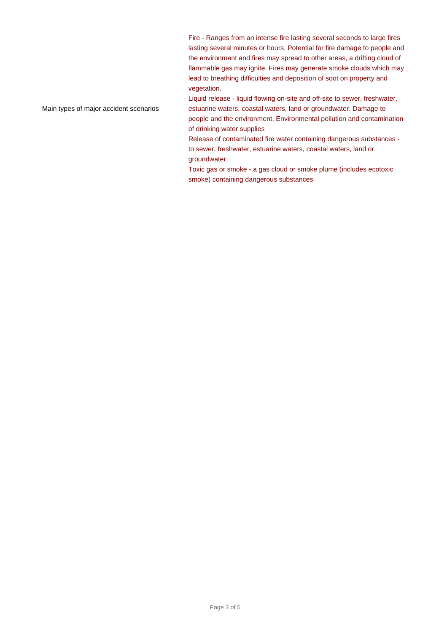Fire - Ranges from an intense fire lasting several seconds to large fires lasting several minutes or hours. Potential for fire damage to people and the environment and fires may spread to other areas, a drifting cloud of flammable gas may ignite. Fires may generate smoke clouds which may lead to breathing difficulties and deposition of soot on property and vegetation.

Main types of major accident scenarios

Liquid release - liquid flowing on-site and off-site to sewer, freshwater, estuarine waters, coastal waters, land or groundwater. Damage to people and the environment. Environmental pollution and contamination of drinking water supplies

Release of contaminated fire water containing dangerous substances to sewer, freshwater, estuarine waters, coastal waters, land or groundwater

Toxic gas or smoke - a gas cloud or smoke plume (includes ecotoxic smoke) containing dangerous substances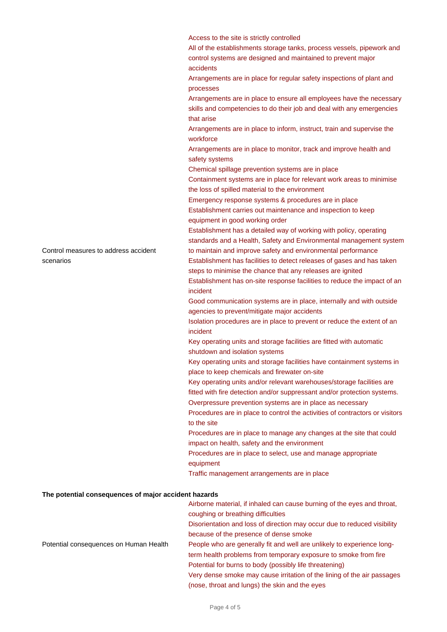Access to the site is strictly controlled All of the establishments storage tanks, process vessels, pipework and control systems are designed and maintained to prevent major accidents Arrangements are in place for regular safety inspections of plant and processes Arrangements are in place to ensure all employees have the necessary skills and competencies to do their job and deal with any emergencies that arise Arrangements are in place to inform, instruct, train and supervise the workforce Arrangements are in place to monitor, track and improve health and safety systems Chemical spillage prevention systems are in place Containment systems are in place for relevant work areas to minimise the loss of spilled material to the environment Emergency response systems & procedures are in place Establishment carries out maintenance and inspection to keep equipment in good working order Establishment has a detailed way of working with policy, operating standards and a Health, Safety and Environmental management system to maintain and improve safety and environmental performance Establishment has facilities to detect releases of gases and has taken steps to minimise the chance that any releases are ignited Establishment has on-site response facilities to reduce the impact of an incident Good communication systems are in place, internally and with outside agencies to prevent/mitigate major accidents Isolation procedures are in place to prevent or reduce the extent of an incident Key operating units and storage facilities are fitted with automatic shutdown and isolation systems Key operating units and storage facilities have containment systems in place to keep chemicals and firewater on-site Key operating units and/or relevant warehouses/storage facilities are fitted with fire detection and/or suppressant and/or protection systems. Overpressure prevention systems are in place as necessary Procedures are in place to control the activities of contractors or visitors to the site Procedures are in place to manage any changes at the site that could impact on health, safety and the environment Procedures are in place to select, use and manage appropriate equipment Traffic management arrangements are in place Airborne material, if inhaled can cause burning of the eyes and throat,

#### **The potential consequences of major accident hazards**

Potential consequences on Human Health coughing or breathing difficulties Disorientation and loss of direction may occur due to reduced visibility because of the presence of dense smoke People who are generally fit and well are unlikely to experience longterm health problems from temporary exposure to smoke from fire Potential for burns to body (possibly life threatening) Very dense smoke may cause irritation of the lining of the air passages (nose, throat and lungs) the skin and the eyes

Control measures to address accident scenarios